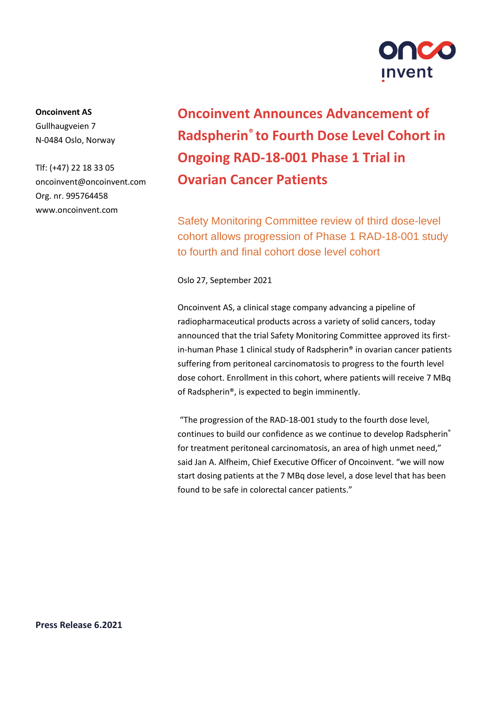

**Oncoinvent AS**  Gullhaugveien 7 N-0484 Oslo, Norway

Tlf: (+47) 22 18 33 05 oncoinvent@oncoinvent.com Org. nr. 995764458 www.oncoinvent.com

# **Oncoinvent Announces Advancement of Radspherin® to Fourth Dose Level Cohort in Ongoing RAD-18-001 Phase 1 Trial in Ovarian Cancer Patients**

Safety Monitoring Committee review of third dose-level cohort allows progression of Phase 1 RAD-18-001 study to fourth and final cohort dose level cohort

Oslo 27, September 2021

Oncoinvent AS, a clinical stage company advancing a pipeline of radiopharmaceutical products across a variety of solid cancers, today announced that the trial Safety Monitoring Committee approved its firstin-human Phase 1 clinical study of Radspherin® in ovarian cancer patients suffering from peritoneal carcinomatosis to progress to the fourth level dose cohort. Enrollment in this cohort, where patients will receive 7 MBq of Radspherin®, is expected to begin imminently.

"The progression of the RAD-18-001 study to the fourth dose level, continues to build our confidence as we continue to develop Radspherin® for treatment peritoneal carcinomatosis, an area of high unmet need," said Jan A. Alfheim, Chief Executive Officer of Oncoinvent. "we will now start dosing patients at the 7 MBq dose level, a dose level that has been found to be safe in colorectal cancer patients."